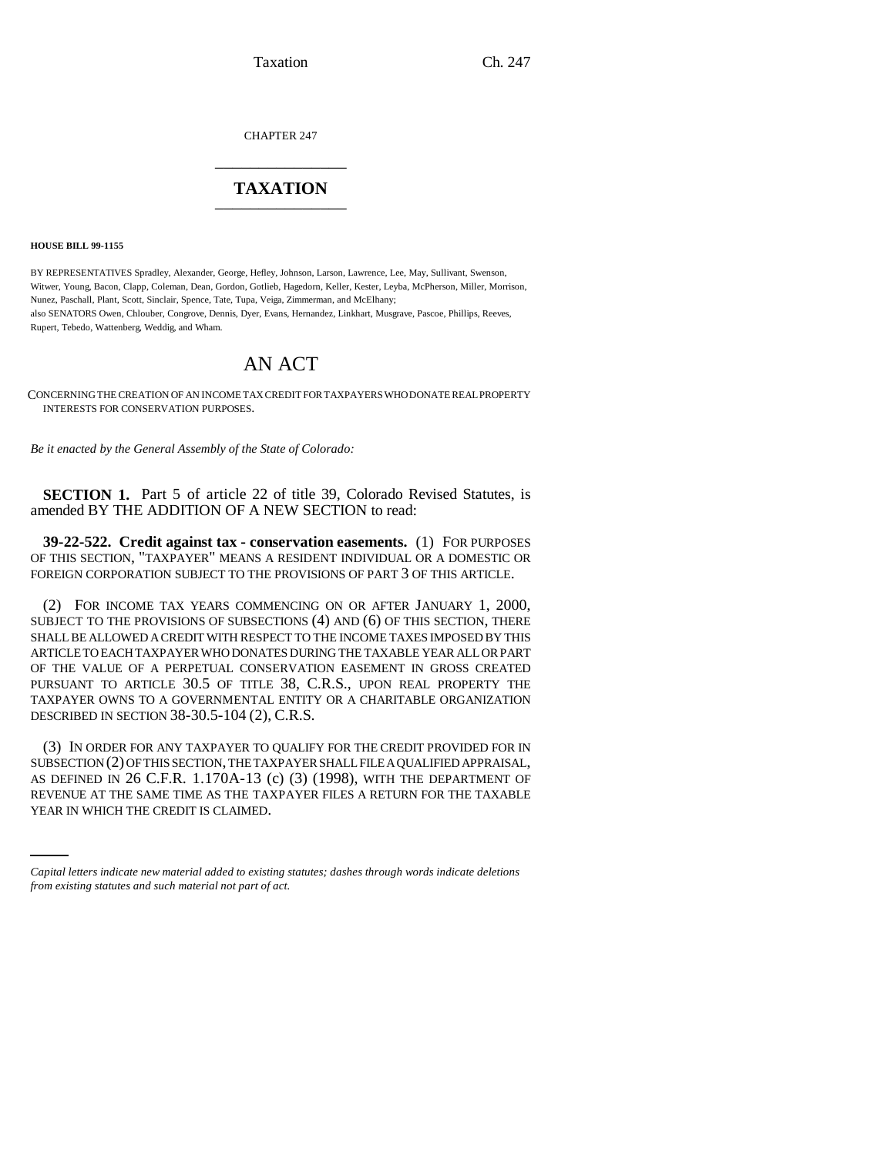Taxation Ch. 247

CHAPTER 247 \_\_\_\_\_\_\_\_\_\_\_\_\_\_\_

## **TAXATION** \_\_\_\_\_\_\_\_\_\_\_\_\_\_\_

**HOUSE BILL 99-1155** 

BY REPRESENTATIVES Spradley, Alexander, George, Hefley, Johnson, Larson, Lawrence, Lee, May, Sullivant, Swenson, Witwer, Young, Bacon, Clapp, Coleman, Dean, Gordon, Gotlieb, Hagedorn, Keller, Kester, Leyba, McPherson, Miller, Morrison, Nunez, Paschall, Plant, Scott, Sinclair, Spence, Tate, Tupa, Veiga, Zimmerman, and McElhany; also SENATORS Owen, Chlouber, Congrove, Dennis, Dyer, Evans, Hernandez, Linkhart, Musgrave, Pascoe, Phillips, Reeves, Rupert, Tebedo, Wattenberg, Weddig, and Wham.

## AN ACT

CONCERNING THE CREATION OF AN INCOME TAX CREDIT FOR TAXPAYERS WHO DONATE REAL PROPERTY INTERESTS FOR CONSERVATION PURPOSES.

*Be it enacted by the General Assembly of the State of Colorado:*

**SECTION 1.** Part 5 of article 22 of title 39, Colorado Revised Statutes, is amended BY THE ADDITION OF A NEW SECTION to read:

**39-22-522. Credit against tax - conservation easements.** (1) FOR PURPOSES OF THIS SECTION, "TAXPAYER" MEANS A RESIDENT INDIVIDUAL OR A DOMESTIC OR FOREIGN CORPORATION SUBJECT TO THE PROVISIONS OF PART 3 OF THIS ARTICLE.

(2) FOR INCOME TAX YEARS COMMENCING ON OR AFTER JANUARY 1, 2000, SUBJECT TO THE PROVISIONS OF SUBSECTIONS (4) AND (6) OF THIS SECTION, THERE SHALL BE ALLOWED A CREDIT WITH RESPECT TO THE INCOME TAXES IMPOSED BY THIS ARTICLE TO EACH TAXPAYER WHO DONATES DURING THE TAXABLE YEAR ALL OR PART OF THE VALUE OF A PERPETUAL CONSERVATION EASEMENT IN GROSS CREATED PURSUANT TO ARTICLE 30.5 OF TITLE 38, C.R.S., UPON REAL PROPERTY THE TAXPAYER OWNS TO A GOVERNMENTAL ENTITY OR A CHARITABLE ORGANIZATION DESCRIBED IN SECTION 38-30.5-104 (2), C.R.S.

AS DEFINED IN 26 C.F.R. 1.170A-13 (c) (3) (1998), WITH THE DEPARTMENT OF (3) IN ORDER FOR ANY TAXPAYER TO QUALIFY FOR THE CREDIT PROVIDED FOR IN SUBSECTION (2) OF THIS SECTION, THE TAXPAYER SHALL FILE A QUALIFIED APPRAISAL, REVENUE AT THE SAME TIME AS THE TAXPAYER FILES A RETURN FOR THE TAXABLE YEAR IN WHICH THE CREDIT IS CLAIMED.

*Capital letters indicate new material added to existing statutes; dashes through words indicate deletions from existing statutes and such material not part of act.*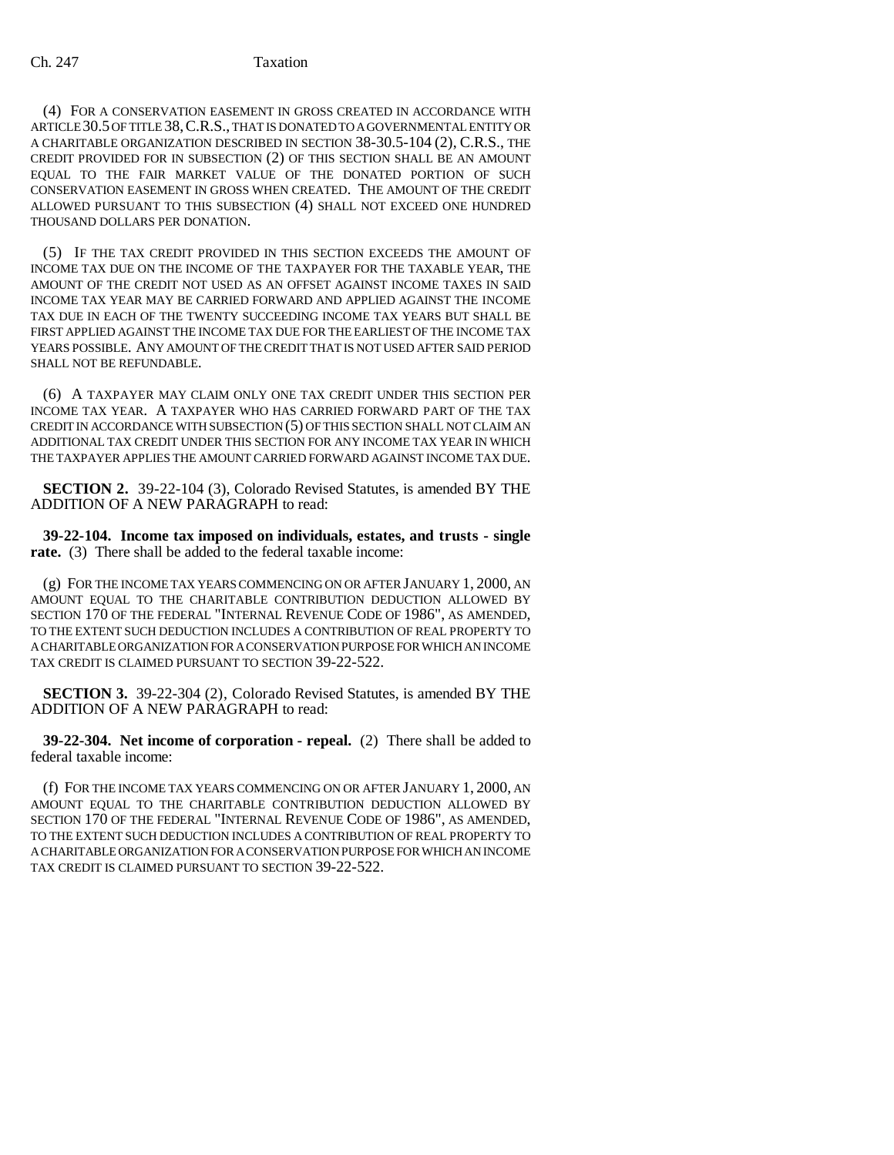## Ch. 247 Taxation

(4) FOR A CONSERVATION EASEMENT IN GROSS CREATED IN ACCORDANCE WITH ARTICLE 30.5 OF TITLE 38,C.R.S., THAT IS DONATED TO A GOVERNMENTAL ENTITY OR A CHARITABLE ORGANIZATION DESCRIBED IN SECTION 38-30.5-104 (2), C.R.S., THE CREDIT PROVIDED FOR IN SUBSECTION (2) OF THIS SECTION SHALL BE AN AMOUNT EQUAL TO THE FAIR MARKET VALUE OF THE DONATED PORTION OF SUCH CONSERVATION EASEMENT IN GROSS WHEN CREATED. THE AMOUNT OF THE CREDIT ALLOWED PURSUANT TO THIS SUBSECTION (4) SHALL NOT EXCEED ONE HUNDRED THOUSAND DOLLARS PER DONATION.

(5) IF THE TAX CREDIT PROVIDED IN THIS SECTION EXCEEDS THE AMOUNT OF INCOME TAX DUE ON THE INCOME OF THE TAXPAYER FOR THE TAXABLE YEAR, THE AMOUNT OF THE CREDIT NOT USED AS AN OFFSET AGAINST INCOME TAXES IN SAID INCOME TAX YEAR MAY BE CARRIED FORWARD AND APPLIED AGAINST THE INCOME TAX DUE IN EACH OF THE TWENTY SUCCEEDING INCOME TAX YEARS BUT SHALL BE FIRST APPLIED AGAINST THE INCOME TAX DUE FOR THE EARLIEST OF THE INCOME TAX YEARS POSSIBLE. ANY AMOUNT OF THE CREDIT THAT IS NOT USED AFTER SAID PERIOD SHALL NOT BE REFUNDABLE.

(6) A TAXPAYER MAY CLAIM ONLY ONE TAX CREDIT UNDER THIS SECTION PER INCOME TAX YEAR. A TAXPAYER WHO HAS CARRIED FORWARD PART OF THE TAX CREDIT IN ACCORDANCE WITH SUBSECTION (5) OF THIS SECTION SHALL NOT CLAIM AN ADDITIONAL TAX CREDIT UNDER THIS SECTION FOR ANY INCOME TAX YEAR IN WHICH THE TAXPAYER APPLIES THE AMOUNT CARRIED FORWARD AGAINST INCOME TAX DUE.

**SECTION 2.** 39-22-104 (3), Colorado Revised Statutes, is amended BY THE ADDITION OF A NEW PARAGRAPH to read:

**39-22-104. Income tax imposed on individuals, estates, and trusts - single rate.** (3) There shall be added to the federal taxable income:

(g) FOR THE INCOME TAX YEARS COMMENCING ON OR AFTER JANUARY 1, 2000, AN AMOUNT EQUAL TO THE CHARITABLE CONTRIBUTION DEDUCTION ALLOWED BY SECTION 170 OF THE FEDERAL "INTERNAL REVENUE CODE OF 1986", AS AMENDED, TO THE EXTENT SUCH DEDUCTION INCLUDES A CONTRIBUTION OF REAL PROPERTY TO A CHARITABLE ORGANIZATION FOR A CONSERVATION PURPOSE FOR WHICH AN INCOME TAX CREDIT IS CLAIMED PURSUANT TO SECTION 39-22-522.

**SECTION 3.** 39-22-304 (2), Colorado Revised Statutes, is amended BY THE ADDITION OF A NEW PARAGRAPH to read:

**39-22-304. Net income of corporation - repeal.** (2) There shall be added to federal taxable income:

(f) FOR THE INCOME TAX YEARS COMMENCING ON OR AFTER JANUARY 1, 2000, AN AMOUNT EQUAL TO THE CHARITABLE CONTRIBUTION DEDUCTION ALLOWED BY SECTION 170 OF THE FEDERAL "INTERNAL REVENUE CODE OF 1986", AS AMENDED, TO THE EXTENT SUCH DEDUCTION INCLUDES A CONTRIBUTION OF REAL PROPERTY TO A CHARITABLE ORGANIZATION FOR A CONSERVATION PURPOSE FOR WHICH AN INCOME TAX CREDIT IS CLAIMED PURSUANT TO SECTION 39-22-522.